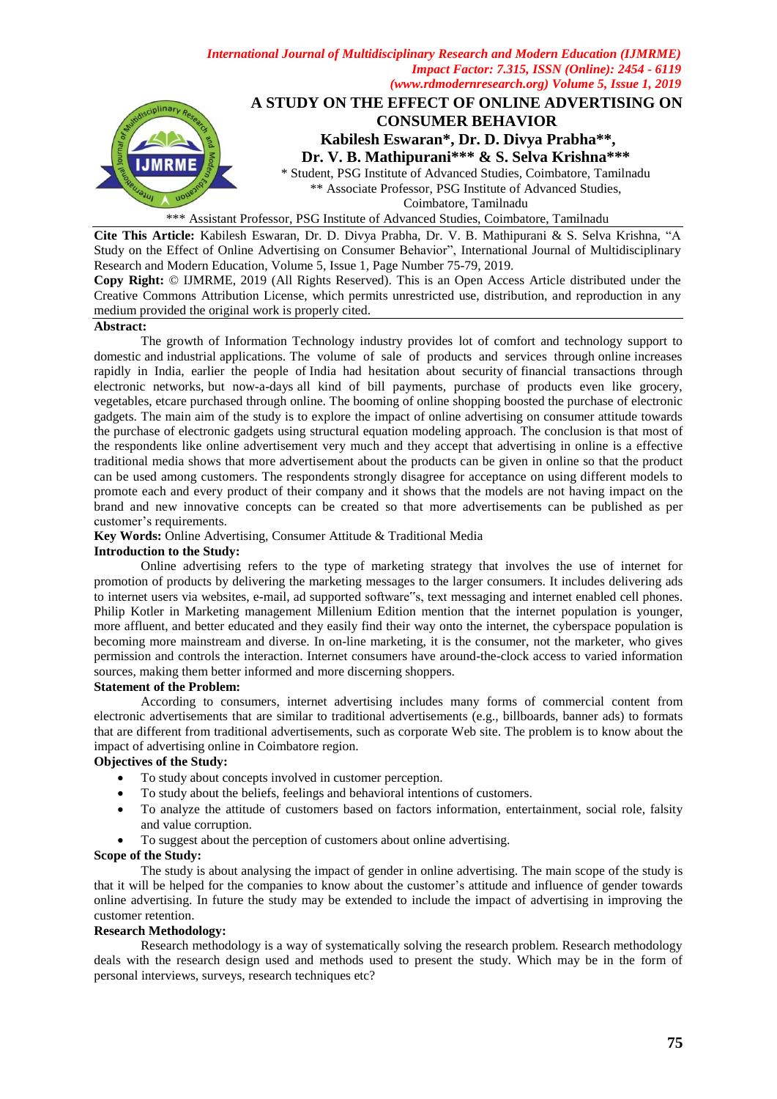

\*\*\* Assistant Professor, PSG Institute of Advanced Studies, Coimbatore, Tamilnadu

**Cite This Article:** Kabilesh Eswaran, Dr. D. Divya Prabha, Dr. V. B. Mathipurani & S. Selva Krishna, "A Study on the Effect of Online Advertising on Consumer Behavior", International Journal of Multidisciplinary Research and Modern Education, Volume 5, Issue 1, Page Number 75-79, 2019.

**Copy Right:** © IJMRME, 2019 (All Rights Reserved). This is an Open Access Article distributed under the Creative Commons Attribution License, which permits unrestricted use, distribution, and reproduction in any medium provided the original work is properly cited.

#### **Abstract:**

The growth of Information Technology industry provides lot of comfort and technology support to domestic and industrial applications. The volume of sale of products and services through online increases rapidly in India, earlier the people of India had hesitation about security of financial transactions through electronic networks, but now-a-days all kind of bill payments, purchase of products even like grocery, vegetables, etcare purchased through online. The booming of online shopping boosted the purchase of electronic gadgets. The main aim of the study is to explore the impact of online advertising on consumer attitude towards the purchase of electronic gadgets using structural equation modeling approach. The conclusion is that most of the respondents like online advertisement very much and they accept that advertising in online is a effective traditional media shows that more advertisement about the products can be given in online so that the product can be used among customers. The respondents strongly disagree for acceptance on using different models to promote each and every product of their company and it shows that the models are not having impact on the brand and new innovative concepts can be created so that more advertisements can be published as per customer's requirements.

**Key Words:** Online Advertising, Consumer Attitude & Traditional Media

#### **Introduction to the Study:**

Online advertising refers to the type of marketing strategy that involves the use of internet for promotion of products by delivering the marketing messages to the larger consumers. It includes delivering ads to internet users via websites, e-mail, ad supported software"s, text messaging and internet enabled cell phones. Philip Kotler in Marketing management Millenium Edition mention that the internet population is younger, more affluent, and better educated and they easily find their way onto the internet, the cyberspace population is becoming more mainstream and diverse. In on-line marketing, it is the consumer, not the marketer, who gives permission and controls the interaction. Internet consumers have around-the-clock access to varied information sources, making them better informed and more discerning shoppers.

## **Statement of the Problem:**

According to consumers, internet advertising includes many forms of commercial content from electronic advertisements that are similar to traditional advertisements (e.g., billboards, banner ads) to formats that are different from traditional advertisements, such as corporate Web site. The problem is to know about the impact of advertising online in Coimbatore region.

## **Objectives of the Study:**

- To study about concepts involved in customer perception.
- To study about the beliefs, feelings and behavioral intentions of customers.
- To analyze the attitude of customers based on factors information, entertainment, social role, falsity and value corruption.
- To suggest about the perception of customers about online advertising.

#### **Scope of the Study:**

The study is about analysing the impact of gender in online advertising. The main scope of the study is that it will be helped for the companies to know about the customer's attitude and influence of gender towards online advertising. In future the study may be extended to include the impact of advertising in improving the customer retention.

#### **Research Methodology:**

Research methodology is a way of systematically solving the research problem. Research methodology deals with the research design used and methods used to present the study. Which may be in the form of personal interviews, surveys, research techniques etc?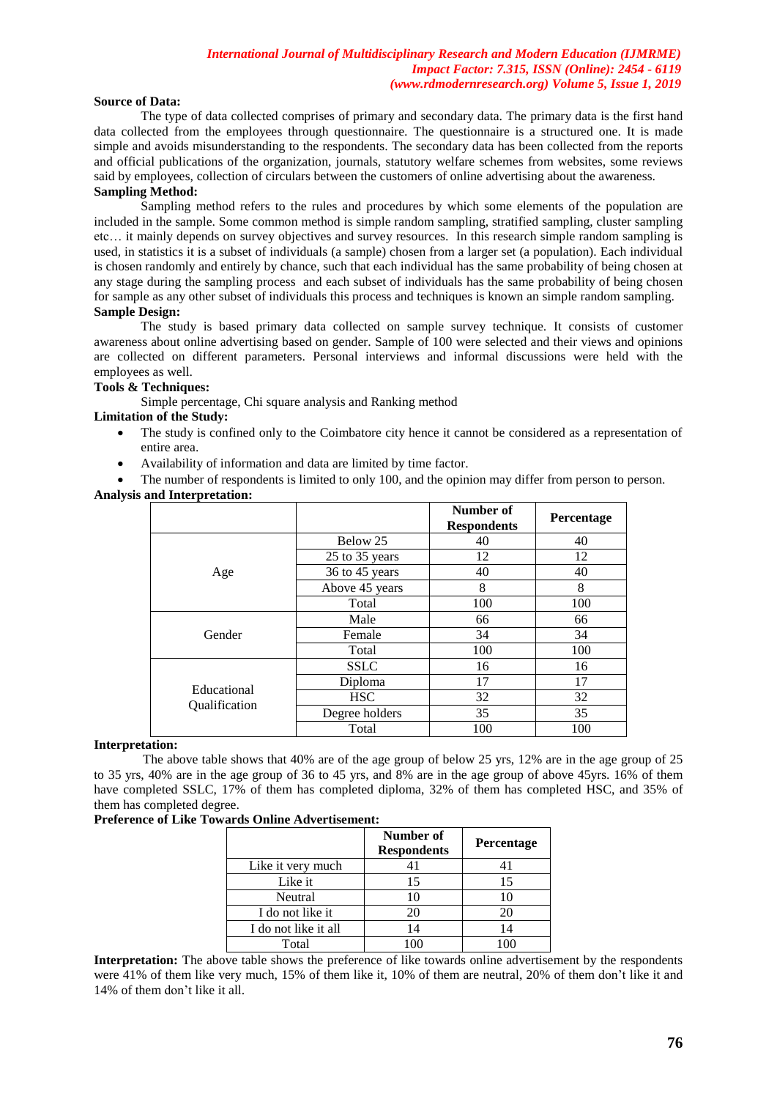#### **Source of Data:**

The type of data collected comprises of primary and secondary data. The primary data is the first hand data collected from the employees through questionnaire. The questionnaire is a structured one. It is made simple and avoids misunderstanding to the respondents. The secondary data has been collected from the reports and official publications of the organization, journals, statutory welfare schemes from websites, some reviews said by employees, collection of circulars between the customers of online advertising about the awareness. **Sampling Method:**

Sampling method refers to the rules and procedures by which some elements of the population are included in the sample. Some common method is simple random sampling, stratified sampling, cluster sampling etc… it mainly depends on survey objectives and survey resources. In this research simple random sampling is used, in statistics it is a subset of individuals (a sample) chosen from a larger set (a population). Each individual is chosen randomly and entirely by chance, such that each individual has the same probability of being chosen at any stage during the sampling process and each subset of individuals has the same probability of being chosen for sample as any other subset of individuals this process and techniques is known an simple random sampling. **Sample Design:**

The study is based primary data collected on sample survey technique. It consists of customer awareness about online advertising based on gender. Sample of 100 were selected and their views and opinions are collected on different parameters. Personal interviews and informal discussions were held with the employees as well.

#### **Tools & Techniques:**

Simple percentage, Chi square analysis and Ranking method

#### **Limitation of the Study:**

- The study is confined only to the Coimbatore city hence it cannot be considered as a representation of entire area.
- Availability of information and data are limited by time factor.

The number of respondents is limited to only 100, and the opinion may differ from person to person.

## **Analysis and Interpretation:**

|                              |                | Number of<br><b>Respondents</b> | Percentage |
|------------------------------|----------------|---------------------------------|------------|
|                              | Below 25       | 40                              | 40         |
|                              | 25 to 35 years | 12                              | 12         |
| Age                          | 36 to 45 years | 40                              | 40         |
|                              | Above 45 years | 8                               | 8          |
|                              | Total          | 100                             | 100        |
|                              | Male           | 66                              | 66         |
| Gender                       | Female         | 34                              | 34         |
|                              | Total          | 100                             | 100        |
|                              | <b>SSLC</b>    | 16                              | 16         |
|                              | Diploma        | 17                              | 17         |
| Educational<br>Qualification | <b>HSC</b>     | 32                              | 32         |
|                              | Degree holders | 35                              | 35         |
|                              | Total          | 100                             | 100        |

## **Interpretation:**

The above table shows that 40% are of the age group of below 25 yrs, 12% are in the age group of 25 to 35 yrs, 40% are in the age group of 36 to 45 yrs, and 8% are in the age group of above 45yrs. 16% of them have completed SSLC, 17% of them has completed diploma, 32% of them has completed HSC, and 35% of them has completed degree.

#### **Preference of Like Towards Online Advertisement:**

|                      | Number of<br><b>Respondents</b> | <b>Percentage</b> |
|----------------------|---------------------------------|-------------------|
| Like it very much    |                                 | 41                |
| Like it              | 15                              | 15                |
| Neutral              |                                 | 10                |
| I do not like it     | 20                              | 20                |
| I do not like it all | 14                              | 14                |
| Total                |                                 |                   |

**Interpretation:** The above table shows the preference of like towards online advertisement by the respondents were 41% of them like very much, 15% of them like it, 10% of them are neutral, 20% of them don't like it and 14% of them don't like it all.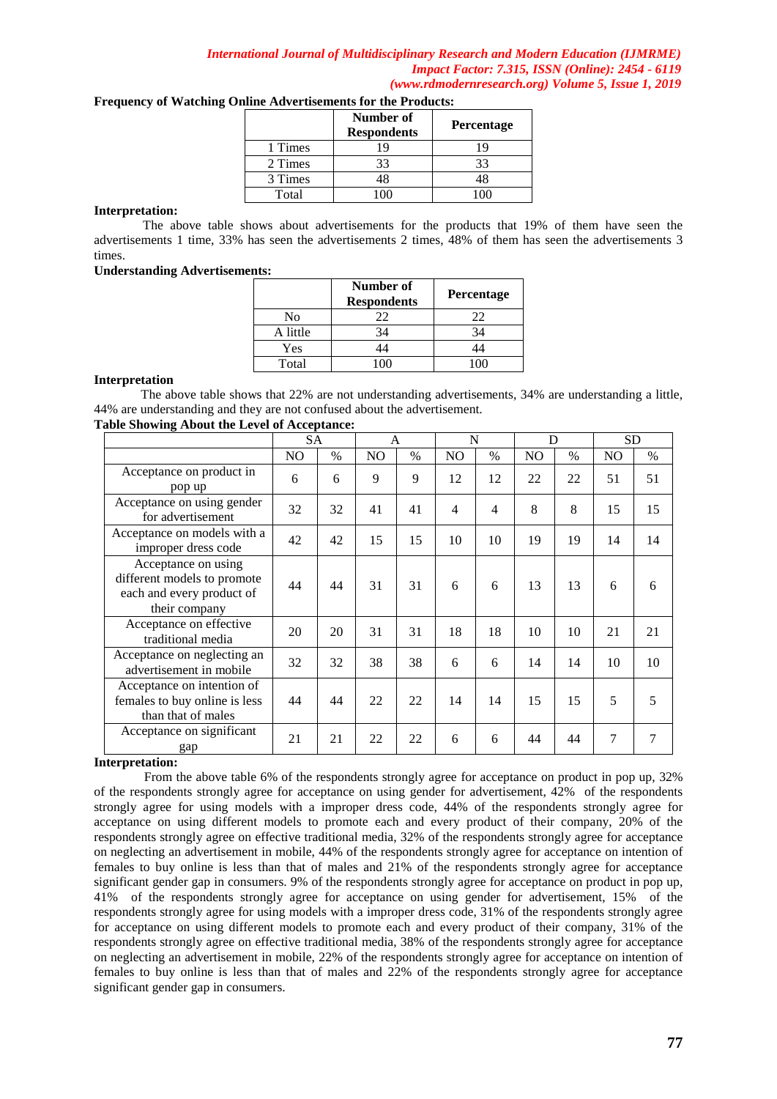| inne Auverusements for the Frouncis. |                                 |                   |  |  |  |  |  |
|--------------------------------------|---------------------------------|-------------------|--|--|--|--|--|
|                                      | Number of<br><b>Respondents</b> | <b>Percentage</b> |  |  |  |  |  |
| 1 Times                              | 19                              | 19                |  |  |  |  |  |
| 2 Times                              | 33                              | 33                |  |  |  |  |  |
| 3 Times                              | 48                              | 48                |  |  |  |  |  |
| Total                                | (1)                             |                   |  |  |  |  |  |

# **Frequency of Watching Online Advertisements for the Products:**

#### **Interpretation:**

The above table shows about advertisements for the products that 19% of them have seen the advertisements 1 time, 33% has seen the advertisements 2 times, 48% of them has seen the advertisements 3 times.

#### **Understanding Advertisements:**

|          | Number of<br><b>Respondents</b> | <b>Percentage</b> |
|----------|---------------------------------|-------------------|
| No       | 22                              | 22                |
| A little | 34                              | 34                |
| Yes      |                                 |                   |
| Total    | ٠∩∩                             |                   |

#### **Interpretation**

The above table shows that 22% are not understanding advertisements, 34% are understanding a little, 44% are understanding and they are not confused about the advertisement.

## **Table Showing About the Level of Acceptance:**

|                                                                                                  | <b>SA</b>      |      | A              |      | N              |               | D              |      | SD.            |      |
|--------------------------------------------------------------------------------------------------|----------------|------|----------------|------|----------------|---------------|----------------|------|----------------|------|
|                                                                                                  | N <sub>O</sub> | $\%$ | N <sub>O</sub> | $\%$ | NO.            | $\frac{0}{0}$ | N <sub>O</sub> | $\%$ | N <sub>O</sub> | $\%$ |
| Acceptance on product in<br>pop up                                                               | 6              | 6    | 9              | 9    | 12             | 12            | 22             | 22   | 51             | 51   |
| Acceptance on using gender<br>for advertisement                                                  | 32             | 32   | 41             | 41   | $\overline{4}$ | 4             | 8              | 8    | 15             | 15   |
| Acceptance on models with a<br>improper dress code                                               | 42             | 42   | 15             | 15   | 10             | 10            | 19             | 19   | 14             | 14   |
| Acceptance on using<br>different models to promote<br>each and every product of<br>their company | 44             | 44   | 31             | 31   | 6              | 6             | 13             | 13   | 6              | 6    |
| Acceptance on effective<br>traditional media                                                     | 20             | 20   | 31             | 31   | 18             | 18            | 10             | 10   | 21             | 21   |
| Acceptance on neglecting an<br>advertisement in mobile                                           | 32             | 32   | 38             | 38   | 6              | 6             | 14             | 14   | 10             | 10   |
| Acceptance on intention of<br>females to buy online is less<br>than that of males                | 44             | 44   | 22             | 22   | 14             | 14            | 15             | 15   | 5              | 5    |
| Acceptance on significant<br>gap                                                                 | 21             | 21   | 22             | 22   | 6              | 6             | 44             | 44   | 7              | 7    |

## **Interpretation:**

From the above table 6% of the respondents strongly agree for acceptance on product in pop up, 32% of the respondents strongly agree for acceptance on using gender for advertisement, 42% of the respondents strongly agree for using models with a improper dress code, 44% of the respondents strongly agree for acceptance on using different models to promote each and every product of their company, 20% of the respondents strongly agree on effective traditional media, 32% of the respondents strongly agree for acceptance on neglecting an advertisement in mobile, 44% of the respondents strongly agree for acceptance on intention of females to buy online is less than that of males and 21% of the respondents strongly agree for acceptance significant gender gap in consumers. 9% of the respondents strongly agree for acceptance on product in pop up, 41% of the respondents strongly agree for acceptance on using gender for advertisement, 15% of the respondents strongly agree for using models with a improper dress code, 31% of the respondents strongly agree for acceptance on using different models to promote each and every product of their company, 31% of the respondents strongly agree on effective traditional media, 38% of the respondents strongly agree for acceptance on neglecting an advertisement in mobile, 22% of the respondents strongly agree for acceptance on intention of females to buy online is less than that of males and 22% of the respondents strongly agree for acceptance significant gender gap in consumers.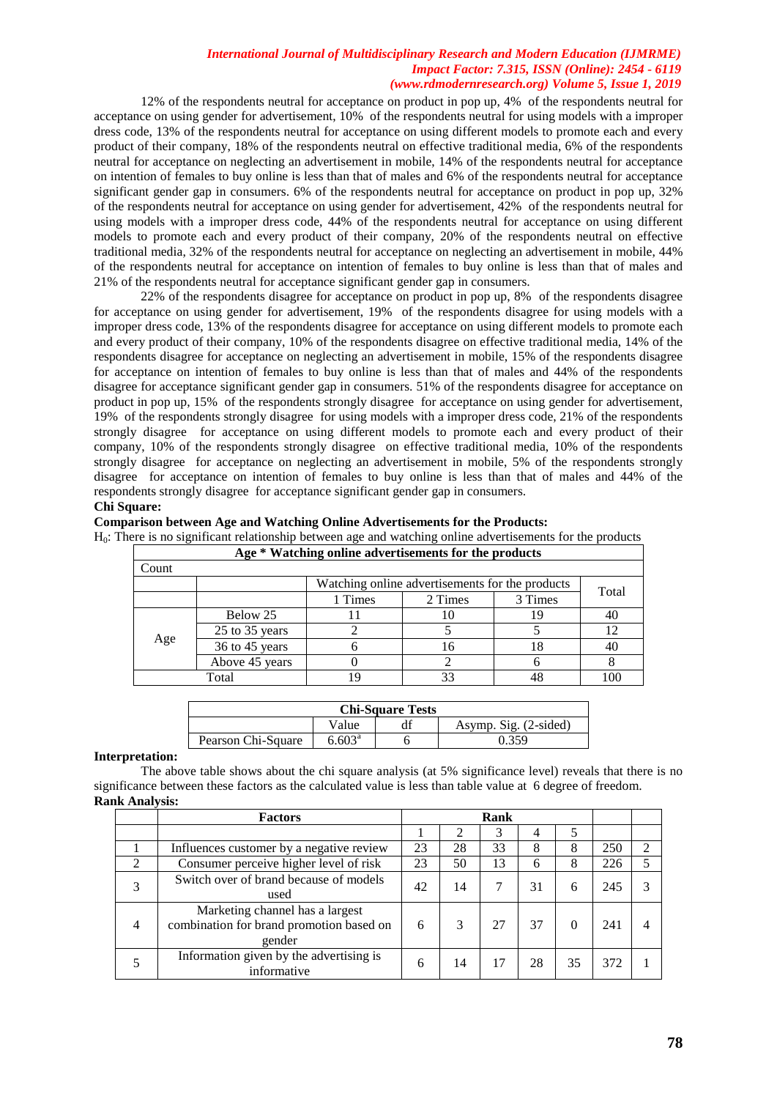12% of the respondents neutral for acceptance on product in pop up, 4% of the respondents neutral for acceptance on using gender for advertisement, 10% of the respondents neutral for using models with a improper dress code, 13% of the respondents neutral for acceptance on using different models to promote each and every product of their company, 18% of the respondents neutral on effective traditional media, 6% of the respondents neutral for acceptance on neglecting an advertisement in mobile, 14% of the respondents neutral for acceptance on intention of females to buy online is less than that of males and 6% of the respondents neutral for acceptance significant gender gap in consumers. 6% of the respondents neutral for acceptance on product in pop up, 32% of the respondents neutral for acceptance on using gender for advertisement, 42% of the respondents neutral for using models with a improper dress code, 44% of the respondents neutral for acceptance on using different models to promote each and every product of their company, 20% of the respondents neutral on effective traditional media, 32% of the respondents neutral for acceptance on neglecting an advertisement in mobile, 44% of the respondents neutral for acceptance on intention of females to buy online is less than that of males and 21% of the respondents neutral for acceptance significant gender gap in consumers.

22% of the respondents disagree for acceptance on product in pop up, 8% of the respondents disagree for acceptance on using gender for advertisement, 19% of the respondents disagree for using models with a improper dress code, 13% of the respondents disagree for acceptance on using different models to promote each and every product of their company, 10% of the respondents disagree on effective traditional media, 14% of the respondents disagree for acceptance on neglecting an advertisement in mobile, 15% of the respondents disagree for acceptance on intention of females to buy online is less than that of males and 44% of the respondents disagree for acceptance significant gender gap in consumers. 51% of the respondents disagree for acceptance on product in pop up, 15% of the respondents strongly disagree for acceptance on using gender for advertisement, 19% of the respondents strongly disagree for using models with a improper dress code, 21% of the respondents strongly disagree for acceptance on using different models to promote each and every product of their company, 10% of the respondents strongly disagree on effective traditional media, 10% of the respondents strongly disagree for acceptance on neglecting an advertisement in mobile, 5% of the respondents strongly disagree for acceptance on intention of females to buy online is less than that of males and 44% of the respondents strongly disagree for acceptance significant gender gap in consumers.

## **Chi Square:**

**Comparison between Age and Watching Online Advertisements for the Products:**

H0: There is no significant relationship between age and watching online advertisements for the products

| Age * Watching online advertisements for the products |                                                          |                               |    |    |     |  |  |  |  |  |
|-------------------------------------------------------|----------------------------------------------------------|-------------------------------|----|----|-----|--|--|--|--|--|
| Count                                                 |                                                          |                               |    |    |     |  |  |  |  |  |
|                                                       | Watching online advertisements for the products<br>Total |                               |    |    |     |  |  |  |  |  |
|                                                       |                                                          | 3 Times<br>1 Times<br>2 Times |    |    |     |  |  |  |  |  |
|                                                       | Below 25                                                 |                               | 10 | ۱9 | 40  |  |  |  |  |  |
|                                                       | 25 to 35 years                                           |                               |    |    | 12  |  |  |  |  |  |
| Age                                                   | 36 to 45 years                                           |                               | 16 |    | 40  |  |  |  |  |  |
|                                                       | Above 45 years                                           |                               |    |    |     |  |  |  |  |  |
|                                                       | Total                                                    |                               | 33 |    | 100 |  |  |  |  |  |

| <b>Chi-Square Tests</b>        |                 |  |       |  |  |  |
|--------------------------------|-----------------|--|-------|--|--|--|
| Asymp. Sig. (2-sided)<br>Value |                 |  |       |  |  |  |
| Pearson Chi-Square             | $6.603^{\circ}$ |  | በ 359 |  |  |  |

#### **Interpretation:**

The above table shows about the chi square analysis (at 5% significance level) reveals that there is no significance between these factors as the calculated value is less than table value at 6 degree of freedom. **Rank Analysis:**

|                             | <b>Factors</b>                                                                        | Rank |    |    |    |    |     |   |
|-----------------------------|---------------------------------------------------------------------------------------|------|----|----|----|----|-----|---|
|                             |                                                                                       |      | 2  |    | 4  | 5  |     |   |
|                             | Influences customer by a negative review                                              | 23   | 28 | 33 | 8  | 8  | 250 | ∍ |
| $\mathcal{D}_{\mathcal{L}}$ | Consumer perceive higher level of risk                                                | 23   | 50 | 13 | 6  | 8  | 226 |   |
| 3                           | Switch over of brand because of models<br>used                                        | 42   | 14 |    | 31 | 6  | 245 |   |
| 4                           | Marketing channel has a largest<br>combination for brand promotion based on<br>gender | 6    | 3  | 27 | 37 |    | 241 |   |
|                             | Information given by the advertising is<br>informative                                | 6    | 14 | 17 | 28 | 35 | 372 |   |